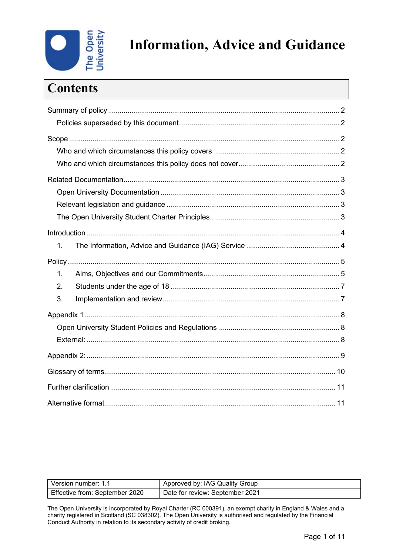

# **Information, Advice and Guidance**

## **Contents**

| 1.             |  |
|----------------|--|
|                |  |
| 1 <sub>1</sub> |  |
| 2.             |  |
| 3.             |  |
|                |  |
|                |  |
|                |  |
|                |  |
|                |  |
|                |  |
|                |  |

| Version number: 1.1            | Approved by: IAG Quality Group  |
|--------------------------------|---------------------------------|
| Effective from: September 2020 | Date for review: September 2021 |

The Open University is incorporated by Royal Charter (RC 000391), an exempt charity in England & Wales and a charity registered in Scotland (SC 038302). The Open University is authorised and regulated by the Financial Conduct Authority in relation to its secondary activity of credit broking.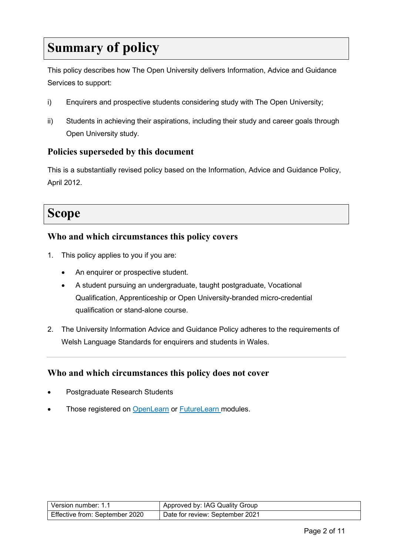# <span id="page-1-0"></span>**Summary of policy**

This policy describes how The Open University delivers Information, Advice and Guidance Services to support:

- i) Enquirers and prospective students considering study with The Open University;
- ii) Students in achieving their aspirations, including their study and career goals through Open University study.

#### <span id="page-1-1"></span>**Policies superseded by this document**

This is a substantially revised policy based on the Information, Advice and Guidance Policy, April 2012.

### <span id="page-1-2"></span>**Scope**

#### <span id="page-1-3"></span>**Who and which circumstances this policy covers**

- 1. This policy applies to you if you are:
	- An enquirer or prospective student.
	- A student pursuing an undergraduate, taught postgraduate, Vocational Qualification, Apprenticeship or Open University-branded micro-credential qualification or stand-alone course.
- 2. The University Information Advice and Guidance Policy adheres to the requirements of Welsh Language Standards for enquirers and students in Wales.

#### <span id="page-1-4"></span>**Who and which circumstances this policy does not cover**

- Postgraduate Research Students
- Those registered on [OpenLearn](https://www.open.edu/openlearn/free-courses/full-catalogue) or [FutureLearn](https://www.futurelearn.com/) modules.

| Version number: 1.1            | Approved by: IAG Quality Group  |
|--------------------------------|---------------------------------|
| Effective from: September 2020 | Date for review: September 2021 |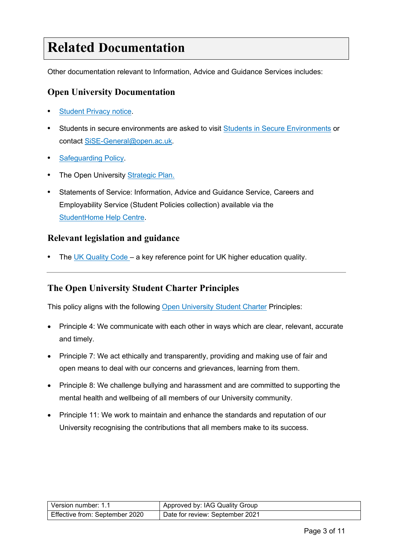# <span id="page-2-0"></span>**Related Documentation**

Other documentation relevant to Information, Advice and Guidance Services includes:

#### <span id="page-2-1"></span>**Open University Documentation**

- [Student Privacy notice.](https://help.open.ac.uk/documents/policies/privacy-notice)
- Students in secure environments are asked to visit [Students in Secure Environments](http://www.open.ac.uk/secure-environments/) or contact [SiSE-General@open.ac.uk.](mailto:SiSE-General@open.ac.uk)
- **[Safeguarding Policy.](https://help.open.ac.uk/documents/policies/ensuring-the-safety-of-children-and-vulnerable-protected-adults)**
- The Open University [Strategic Plan.](http://www.open.ac.uk/about/main/sites/www.open.ac.uk.about.main/files/files/OU%20Strategic%20Plan%20to%202021-22.pdf)
- Statements of Service: Information, Advice and Guidance Service, Careers and Employability Service (Student Policies collection) available via the [StudentHome Help Centre.](https://help.open.ac.uk/)

#### <span id="page-2-2"></span>**Relevant legislation and guidance**

**•** The [UK Quality Code](https://www.qaa.ac.uk/quality-code) – a key reference point for UK higher education quality.

#### <span id="page-2-3"></span>**The Open University Student Charter Principles**

This policy aligns with the following [Open University](http://www.open.ac.uk/students/charter/) Student Charter Principles:

- Principle 4: We communicate with each other in ways which are clear, relevant, accurate and timely.
- Principle 7: We act ethically and transparently, providing and making use of fair and open means to deal with our concerns and grievances, learning from them.
- Principle 8: We challenge bullying and harassment and are committed to supporting the mental health and wellbeing of all members of our University community.
- Principle 11: We work to maintain and enhance the standards and reputation of our University recognising the contributions that all members make to its success.

| Version number: 1.1            | Approved by: IAG Quality Group  |
|--------------------------------|---------------------------------|
| Effective from: September 2020 | Date for review: September 2021 |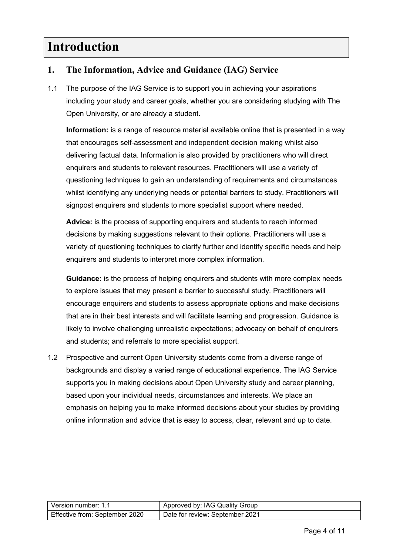### <span id="page-3-0"></span>**Introduction**

#### <span id="page-3-1"></span>**1. The Information, Advice and Guidance (IAG) Service**

1.1 The purpose of the IAG Service is to support you in achieving your aspirations including your study and career goals, whether you are considering studying with The Open University, or are already a student.

**Information:** is a range of resource material available online that is presented in a way that encourages self-assessment and independent decision making whilst also delivering factual data. Information is also provided by practitioners who will direct enquirers and students to relevant resources. Practitioners will use a variety of questioning techniques to gain an understanding of requirements and circumstances whilst identifying any underlying needs or potential barriers to study. Practitioners will signpost enquirers and students to more specialist support where needed.

**Advice:** is the process of supporting enquirers and students to reach informed decisions by making suggestions relevant to their options. Practitioners will use a variety of questioning techniques to clarify further and identify specific needs and help enquirers and students to interpret more complex information.

**Guidance:** is the process of helping enquirers and students with more complex needs to explore issues that may present a barrier to successful study. Practitioners will encourage enquirers and students to assess appropriate options and make decisions that are in their best interests and will facilitate learning and progression. Guidance is likely to involve challenging unrealistic expectations; advocacy on behalf of enquirers and students; and referrals to more specialist support.

1.2 Prospective and current Open University students come from a diverse range of backgrounds and display a varied range of educational experience. The IAG Service supports you in making decisions about Open University study and career planning, based upon your individual needs, circumstances and interests. We place an emphasis on helping you to make informed decisions about your studies by providing online information and advice that is easy to access, clear, relevant and up to date.

| Version number: 1.1            | Approved by: IAG Quality Group  |
|--------------------------------|---------------------------------|
| Effective from: September 2020 | Date for review: September 2021 |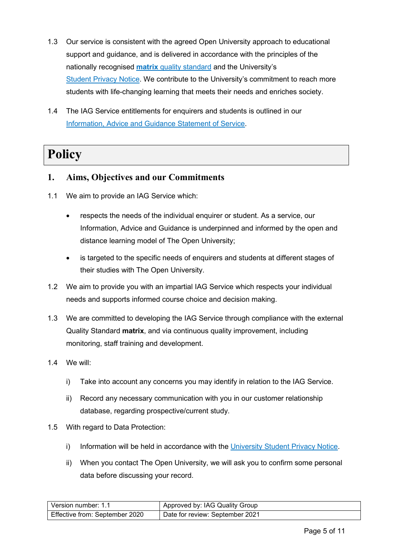- 1.3 Our service is consistent with the agreed Open University approach to educational support and guidance, and is delivered in accordance with the principles of the nationally recognised **matrix** [quality standard](https://matrixstandard.com/) and the University's [Student Privacy Notice.](https://help.open.ac.uk/documents/policies/privacy-notice) We contribute to the University's commitment to reach more students with life-changing learning that meets their needs and enriches society.
- 1.4 The IAG Service entitlements for enquirers and students is outlined in our [Information, Advice and Guidance Statement of Service.](https://help.open.ac.uk/documents/policies/information-advice-and-guidance)

### <span id="page-4-0"></span>**Policy**

#### <span id="page-4-1"></span>**1. Aims, Objectives and our Commitments**

- 1.1 We aim to provide an IAG Service which:
	- respects the needs of the individual enquirer or student. As a service, our Information, Advice and Guidance is underpinned and informed by the open and distance learning model of The Open University;
	- is targeted to the specific needs of enquirers and students at different stages of their studies with The Open University.
- 1.2 We aim to provide you with an impartial IAG Service which respects your individual needs and supports informed course choice and decision making.
- 1.3 We are committed to developing the IAG Service through compliance with the external Quality Standard **matrix**, and via continuous quality improvement, including monitoring, staff training and development.
- 1.4 We will:
	- i) Take into account any concerns you may identify in relation to the IAG Service.
	- ii) Record any necessary communication with you in our customer relationship database, regarding prospective/current study.
- 1.5 With regard to Data Protection:
	- i) Information will be held in accordance with the [University Student Privacy Notice.](https://help.open.ac.uk/documents/policies/privacy-notice)
	- ii) When you contact The Open University, we will ask you to confirm some personal data before discussing your record.

| Version number: 1.1            | Approved by: IAG Quality Group  |
|--------------------------------|---------------------------------|
| Effective from: September 2020 | Date for review: September 2021 |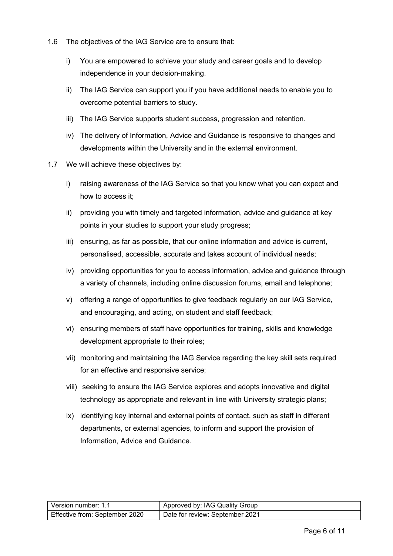- 1.6 The objectives of the IAG Service are to ensure that:
	- i) You are empowered to achieve your study and career goals and to develop independence in your decision-making.
	- ii) The IAG Service can support you if you have additional needs to enable you to overcome potential barriers to study.
	- iii) The IAG Service supports student success, progression and retention.
	- iv) The delivery of Information, Advice and Guidance is responsive to changes and developments within the University and in the external environment.
- 1.7 We will achieve these objectives by:
	- i) raising awareness of the IAG Service so that you know what you can expect and how to access it;
	- ii) providing you with timely and targeted information, advice and guidance at key points in your studies to support your study progress;
	- iii) ensuring, as far as possible, that our online information and advice is current, personalised, accessible, accurate and takes account of individual needs;
	- iv) providing opportunities for you to access information, advice and guidance through a variety of channels, including online discussion forums, email and telephone;
	- v) offering a range of opportunities to give feedback regularly on our IAG Service, and encouraging, and acting, on student and staff feedback;
	- vi) ensuring members of staff have opportunities for training, skills and knowledge development appropriate to their roles;
	- vii) monitoring and maintaining the IAG Service regarding the key skill sets required for an effective and responsive service;
	- viii) seeking to ensure the IAG Service explores and adopts innovative and digital technology as appropriate and relevant in line with University strategic plans;
	- ix) identifying key internal and external points of contact, such as staff in different departments, or external agencies, to inform and support the provision of Information, Advice and Guidance.

| Version number: 1.1            | Approved by: IAG Quality Group  |
|--------------------------------|---------------------------------|
| Effective from: September 2020 | Date for review: September 2021 |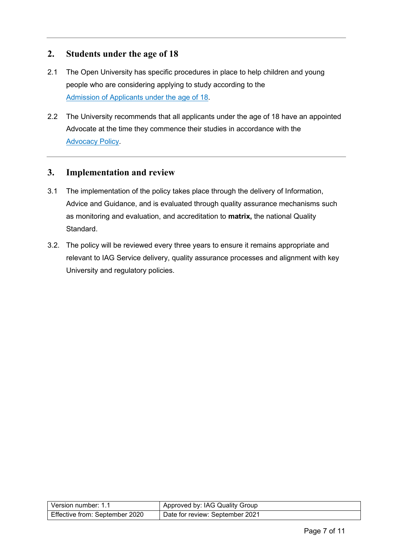#### <span id="page-6-0"></span>**2. Students under the age of 18**

- 2.1 The Open University has specific procedures in place to help children and young people who are considering applying to study according to the [Admission of Applicants under the age of 18.](https://help.open.ac.uk/documents/policies/admission-of-applicants-under-the-age-18)
- 2.2 The University recommends that all applicants under the age of 18 have an appointed Advocate at the time they commence their studies in accordance with the [Advocacy Policy.](https://help.open.ac.uk/documents/policies/advocacy)

#### <span id="page-6-1"></span>**3. Implementation and review**

- 3.1 The implementation of the policy takes place through the delivery of Information, Advice and Guidance, and is evaluated through quality assurance mechanisms such as monitoring and evaluation, and accreditation to **matrix,** the national Quality Standard.
- 3.2. The policy will be reviewed every three years to ensure it remains appropriate and relevant to IAG Service delivery, quality assurance processes and alignment with key University and regulatory policies.

| Version number: 1.1            | Approved by: IAG Quality Group  |
|--------------------------------|---------------------------------|
| Effective from: September 2020 | Date for review: September 2021 |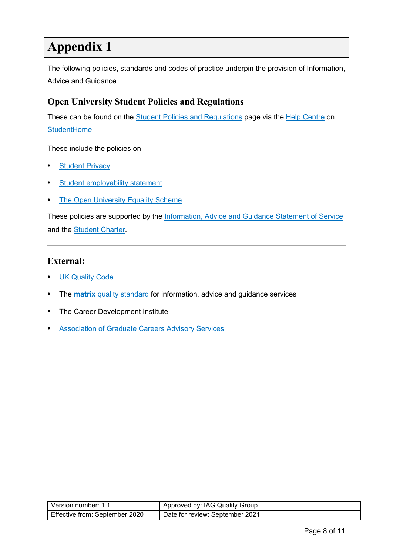# <span id="page-7-0"></span>**Appendix 1**

The following policies, standards and codes of practice underpin the provision of Information, Advice and Guidance.

#### <span id="page-7-1"></span>**Open University Student Policies and Regulations**

These can be found on the [Student Policies and Regulations](https://help.open.ac.uk/documents/policies) page via the [Help Centre](https://help.open.ac.uk/) on **[StudentHome](https://msds.open.ac.uk/students/)** 

These include the policies on:

- **[Student Privacy](https://help.open.ac.uk/documents/policies/privacy-notice)**
- [Student employability statement](https://help.open.ac.uk/documents/policies/employability)
- [The Open University Equality Scheme](http://www.open.ac.uk/equality-diversity/content/equality-scheme-objectives)

These policies are supported by the [Information, Advice and Guidance Statement of Service](https://help.open.ac.uk/documents/policies/information-advice-and-guidance) and the **Student Charter**.

#### <span id="page-7-2"></span>**External:**

- **[UK Quality Code](https://www.qaa.ac.uk/quality-code)**
- The **matrix** [quality standard](https://matrixstandard.com/) for information, advice and guidance services
- The Career Development Institute
- [Association of Graduate Careers Advisory Services](http://www.agcas.org.uk/)

| Version number: 1.1            | Approved by: IAG Quality Group  |
|--------------------------------|---------------------------------|
| Effective from: September 2020 | Date for review: September 2021 |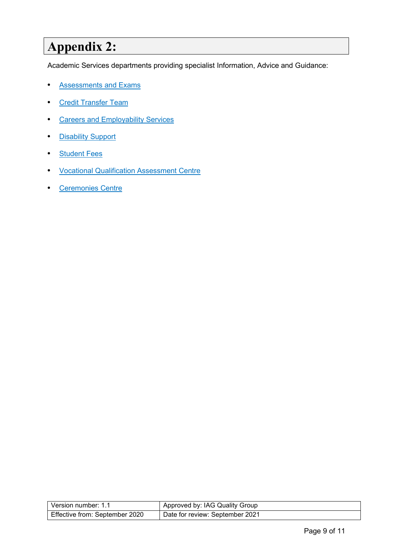## <span id="page-8-0"></span>**Appendix 2:**

Academic Services departments providing specialist Information, Advice and Guidance:

- [Assessments and Exams](https://help.open.ac.uk/topic/assessments-and-exams)
- [Credit Transfer Team](http://www.open.ac.uk/courses/apply/credit-transfer)
- [Careers and Employability Services](https://help.open.ac.uk/topic/careers)
- [Disability Support](https://help.open.ac.uk/topic/disability)
- [Student Fees](https://help.open.ac.uk/topic/payment-and-enrolment/category/ways-to-pay)
- [Vocational Qualification Assessment Centre](http://www.open.ac.uk/business/vocational-qualifications)
- [Ceremonies Centre](https://help.open.ac.uk/topic/completing-your-studies/category/degree-ceremonies)

| l Version number: 1.1          | Approved by: IAG Quality Group  |
|--------------------------------|---------------------------------|
| Effective from: September 2020 | Date for review: September 2021 |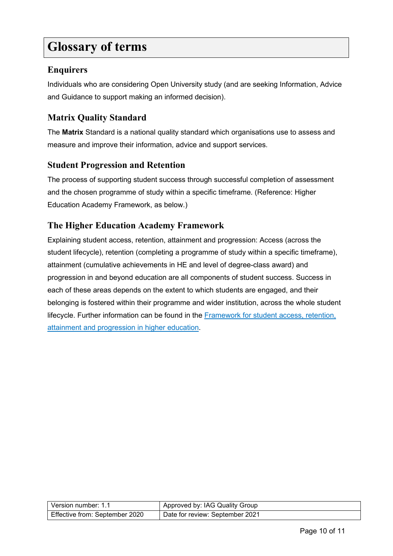### <span id="page-9-0"></span>**Glossary of terms**

#### **Enquirers**

Individuals who are considering Open University study (and are seeking Information, Advice and Guidance to support making an informed decision).

#### **Matrix Quality Standard**

The **Matrix** Standard is a national quality standard which organisations use to assess and measure and improve their information, advice and support services.

#### **Student Progression and Retention**

The process of supporting student success through successful completion of assessment and the chosen programme of study within a specific timeframe. (Reference: Higher Education Academy Framework, as below.)

#### **The Higher Education Academy Framework**

Explaining student access, retention, attainment and progression: Access (across the student lifecycle), retention (completing a programme of study within a specific timeframe), attainment (cumulative achievements in HE and level of degree-class award) and progression in and beyond education are all components of student success. Success in each of these areas depends on the extent to which students are engaged, and their belonging is fostered within their programme and wider institution, across the whole student lifecycle. Further information can be found in the [Framework for student access, retention,](https://www.heacademy.ac.uk/download/framework-student-access-retention-attainment-and-progression-higher-education)  [attainment and progression in higher education.](https://www.heacademy.ac.uk/download/framework-student-access-retention-attainment-and-progression-higher-education)

| l Version number: 1.1          | Approved by: IAG Quality Group  |
|--------------------------------|---------------------------------|
| Effective from: September 2020 | Date for review: September 2021 |